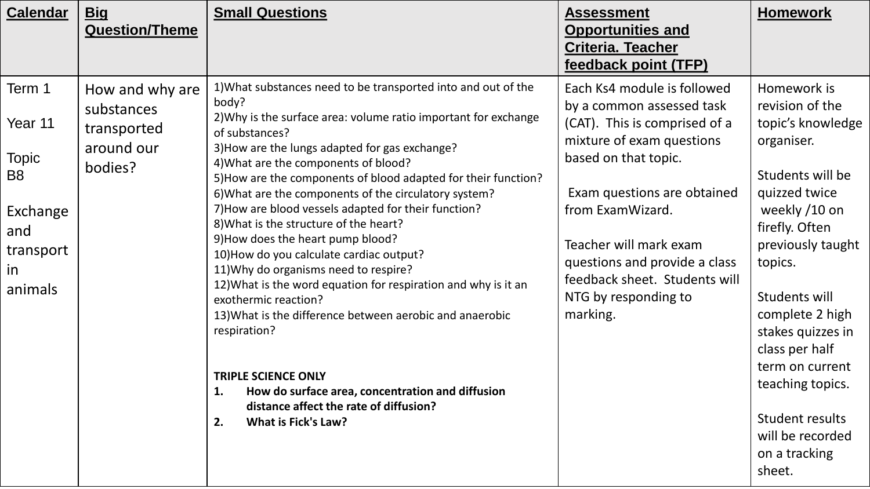| <b>Calendar</b>                                                                                             | <u>Big</u><br><b>Question/Theme</b>                                   | <b>Small Questions</b>                                                                                                                                                                                                                                                                                                                                                                                                                                                                                                                                                                                                                                                                                                                                                                                                                                                                                                                                   | <b>Assessment</b><br><b>Opportunities and</b><br><b>Criteria. Teacher</b><br>feedback point (TFP)                                                                                                                                                                                                                                 | <b>Homework</b>                                                                                                                                                                                                                                                                                                                                               |
|-------------------------------------------------------------------------------------------------------------|-----------------------------------------------------------------------|----------------------------------------------------------------------------------------------------------------------------------------------------------------------------------------------------------------------------------------------------------------------------------------------------------------------------------------------------------------------------------------------------------------------------------------------------------------------------------------------------------------------------------------------------------------------------------------------------------------------------------------------------------------------------------------------------------------------------------------------------------------------------------------------------------------------------------------------------------------------------------------------------------------------------------------------------------|-----------------------------------------------------------------------------------------------------------------------------------------------------------------------------------------------------------------------------------------------------------------------------------------------------------------------------------|---------------------------------------------------------------------------------------------------------------------------------------------------------------------------------------------------------------------------------------------------------------------------------------------------------------------------------------------------------------|
| Term 1<br>Year 11<br><b>Topic</b><br>B <sub>8</sub><br>Exchange<br>and<br>transport<br><i>in</i><br>animals | How and why are<br>substances<br>transported<br>around our<br>bodies? | 1) What substances need to be transported into and out of the<br>body?<br>2) Why is the surface area: volume ratio important for exchange<br>of substances?<br>3) How are the lungs adapted for gas exchange?<br>4) What are the components of blood?<br>5) How are the components of blood adapted for their function?<br>6) What are the components of the circulatory system?<br>7) How are blood vessels adapted for their function?<br>8) What is the structure of the heart?<br>9) How does the heart pump blood?<br>10) How do you calculate cardiac output?<br>11) Why do organisms need to respire?<br>12) What is the word equation for respiration and why is it an<br>exothermic reaction?<br>13) What is the difference between aerobic and anaerobic<br>respiration?<br><b>TRIPLE SCIENCE ONLY</b><br>How do surface area, concentration and diffusion<br>1.<br>distance affect the rate of diffusion?<br><b>What is Fick's Law?</b><br>2. | Each Ks4 module is followed<br>by a common assessed task<br>(CAT). This is comprised of a<br>mixture of exam questions<br>based on that topic.<br>Exam questions are obtained<br>from ExamWizard.<br>Teacher will mark exam<br>questions and provide a class<br>feedback sheet. Students will<br>NTG by responding to<br>marking. | Homework is<br>revision of the<br>topic's knowledge<br>organiser.<br>Students will be<br>quizzed twice<br>weekly /10 on<br>firefly. Often<br>previously taught<br>topics.<br>Students will<br>complete 2 high<br>stakes quizzes in<br>class per half<br>term on current<br>teaching topics.<br>Student results<br>will be recorded<br>on a tracking<br>sheet. |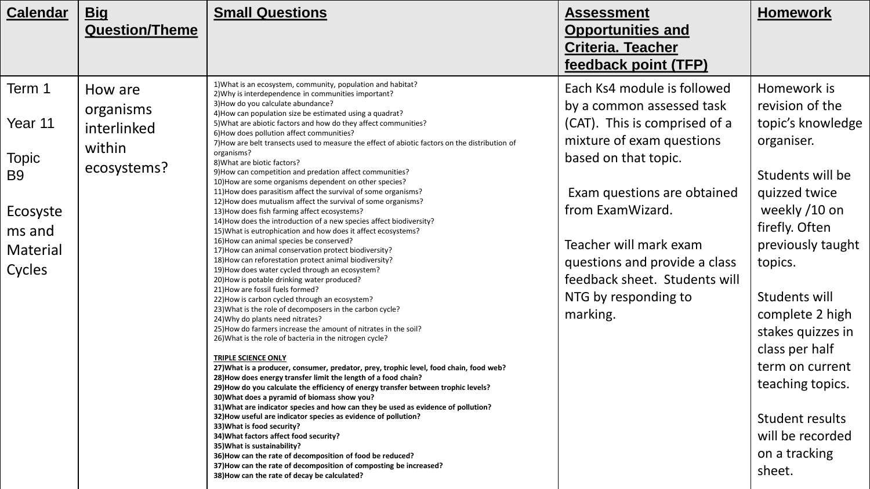| <b>Calendar</b> | <u>Big</u>            | <b>Small Questions</b>                                                                                                            | <b>Assessment</b>             | <b>Homework</b>   |
|-----------------|-----------------------|-----------------------------------------------------------------------------------------------------------------------------------|-------------------------------|-------------------|
|                 | <b>Question/Theme</b> |                                                                                                                                   | <b>Opportunities and</b>      |                   |
|                 |                       |                                                                                                                                   | <b>Criteria. Teacher</b>      |                   |
|                 |                       |                                                                                                                                   | feedback point (TFP)          |                   |
| Term 1          | How are               | 1) What is an ecosystem, community, population and habitat?<br>2) Why is interdependence in communities important?                | Each Ks4 module is followed   | Homework is       |
|                 | organisms             | 3) How do you calculate abundance?                                                                                                | by a common assessed task     | revision of the   |
| Year 11         |                       | 4) How can population size be estimated using a quadrat?<br>5) What are abiotic factors and how do they affect communities?       | (CAT). This is comprised of a | topic's knowledge |
|                 | interlinked           | 6) How does pollution affect communities?                                                                                         | mixture of exam questions     | organiser.        |
|                 | within                | 7) How are belt transects used to measure the effect of abiotic factors on the distribution of<br>organisms?                      |                               |                   |
| <b>Topic</b>    | ecosystems?           | 8) What are biotic factors?                                                                                                       | based on that topic.          |                   |
| B9              |                       | 9) How can competition and predation affect communities?<br>10) How are some organisms dependent on other species?                |                               | Students will be  |
|                 |                       | 11) How does parasitism affect the survival of some organisms?                                                                    | Exam questions are obtained   | quizzed twice     |
| Ecosyste        |                       | 12) How does mutualism affect the survival of some organisms?<br>13) How does fish farming affect ecosystems?                     | from ExamWizard.              | weekly /10 on     |
|                 |                       | 14) How does the introduction of a new species affect biodiversity?                                                               |                               | firefly. Often    |
| ms and          |                       | 15) What is eutrophication and how does it affect ecosystems?<br>16) How can animal species be conserved?                         |                               |                   |
| Material        |                       | 17) How can animal conservation protect biodiversity?                                                                             | Teacher will mark exam        | previously taught |
|                 |                       | 18) How can reforestation protect animal biodiversity?<br>19) How does water cycled through an ecosystem?                         | questions and provide a class | topics.           |
| Cycles          |                       | 20) How is potable drinking water produced?                                                                                       | feedback sheet. Students will |                   |
|                 |                       | 21) How are fossil fuels formed?                                                                                                  | NTG by responding to          | Students will     |
|                 |                       | 22) How is carbon cycled through an ecosystem?<br>23) What is the role of decomposers in the carbon cycle?                        |                               |                   |
|                 |                       | 24) Why do plants need nitrates?                                                                                                  | marking.                      | complete 2 high   |
|                 |                       | 25) How do farmers increase the amount of nitrates in the soil?<br>26) What is the role of bacteria in the nitrogen cycle?        |                               | stakes quizzes in |
|                 |                       |                                                                                                                                   |                               | class per half    |
|                 |                       | <b>TRIPLE SCIENCE ONLY</b><br>27) What is a producer, consumer, predator, prey, trophic level, food chain, food web?              |                               | term on current   |
|                 |                       | 28) How does energy transfer limit the length of a food chain?                                                                    |                               |                   |
|                 |                       | 29) How do you calculate the efficiency of energy transfer between trophic levels?                                                |                               | teaching topics.  |
|                 |                       | 30) What does a pyramid of biomass show you?<br>31) What are indicator species and how can they be used as evidence of pollution? |                               |                   |
|                 |                       | 32) How useful are indicator species as evidence of pollution?                                                                    |                               | Student results   |
|                 |                       | 33) What is food security?<br>34) What factors affect food security?                                                              |                               | will be recorded  |
|                 |                       | 35) What is sustainability?                                                                                                       |                               |                   |
|                 |                       | 36) How can the rate of decomposition of food be reduced?<br>37) How can the rate of decomposition of composting be increased?    |                               | on a tracking     |
|                 |                       | 38) How can the rate of decay be calculated?                                                                                      |                               | sheet.            |
|                 |                       |                                                                                                                                   |                               |                   |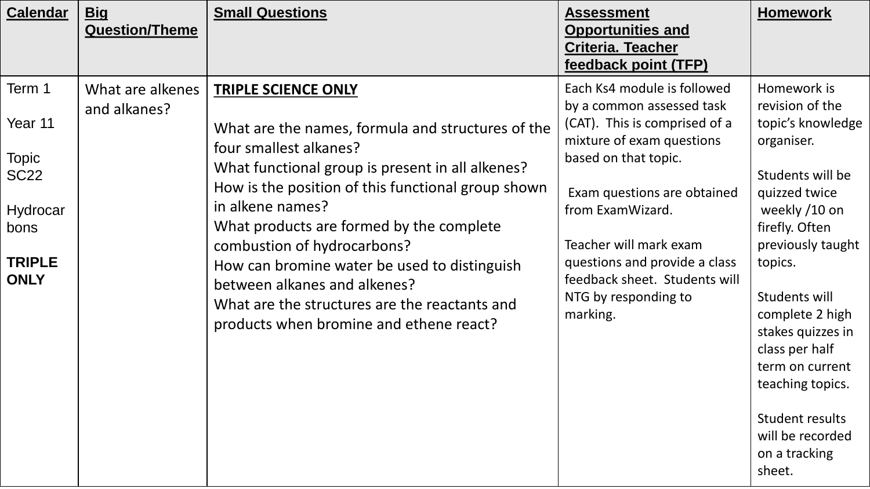| <b>Calendar</b>                                                                                      | <b>Big</b><br><b>Question/Theme</b> | <b>Small Questions</b>                                                                                                                                                                                                                                                                                                                                                                                                                                                                         | <b>Assessment</b><br><b>Opportunities and</b><br><b>Criteria. Teacher</b><br>feedback point (TFP)                                                                                                                                                                                                                                 | <b>Homework</b>                                                                                                                                                                                                                                                                                                                                                      |
|------------------------------------------------------------------------------------------------------|-------------------------------------|------------------------------------------------------------------------------------------------------------------------------------------------------------------------------------------------------------------------------------------------------------------------------------------------------------------------------------------------------------------------------------------------------------------------------------------------------------------------------------------------|-----------------------------------------------------------------------------------------------------------------------------------------------------------------------------------------------------------------------------------------------------------------------------------------------------------------------------------|----------------------------------------------------------------------------------------------------------------------------------------------------------------------------------------------------------------------------------------------------------------------------------------------------------------------------------------------------------------------|
| Term 1<br>Year 11<br><b>Topic</b><br><b>SC22</b><br>Hydrocar<br>bons<br><b>TRIPLE</b><br><b>ONLY</b> | What are alkenes<br>and alkanes?    | <b>TRIPLE SCIENCE ONLY</b><br>What are the names, formula and structures of the<br>four smallest alkanes?<br>What functional group is present in all alkenes?<br>How is the position of this functional group shown<br>in alkene names?<br>What products are formed by the complete<br>combustion of hydrocarbons?<br>How can bromine water be used to distinguish<br>between alkanes and alkenes?<br>What are the structures are the reactants and<br>products when bromine and ethene react? | Each Ks4 module is followed<br>by a common assessed task<br>(CAT). This is comprised of a<br>mixture of exam questions<br>based on that topic.<br>Exam questions are obtained<br>from ExamWizard.<br>Teacher will mark exam<br>questions and provide a class<br>feedback sheet. Students will<br>NTG by responding to<br>marking. | Homework is<br>revision of the<br>topic's knowledge<br>organiser.<br>Students will be<br>quizzed twice<br>weekly /10 on<br>firefly. Often<br>previously taught<br>topics.<br>Students will<br>complete 2 high<br>stakes quizzes in<br>class per half<br>term on current<br>teaching topics.<br><b>Student results</b><br>will be recorded<br>on a tracking<br>sheet. |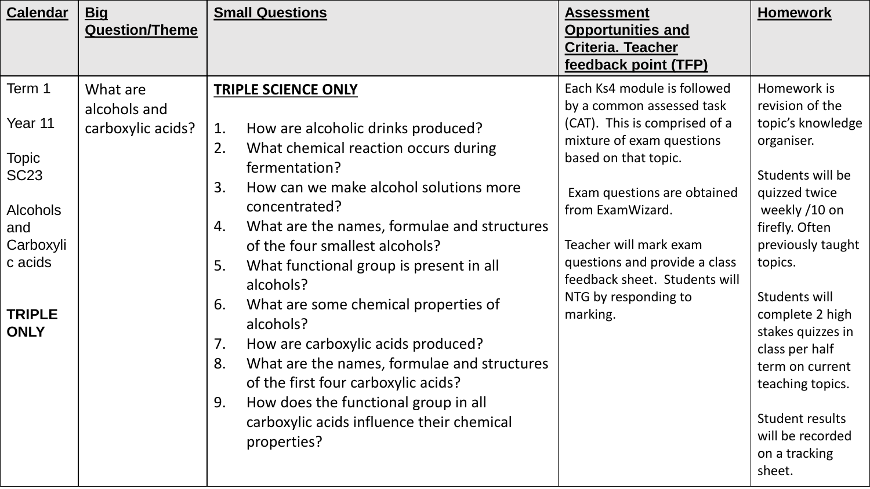| <b>Calendar</b>              | <b>Big</b><br><b>Question/Theme</b> | <b>Small Questions</b>                                                                                           | <b>Assessment</b><br><b>Opportunities and</b><br><b>Criteria. Teacher</b><br>feedback point (TFP) | <b>Homework</b>                                                         |
|------------------------------|-------------------------------------|------------------------------------------------------------------------------------------------------------------|---------------------------------------------------------------------------------------------------|-------------------------------------------------------------------------|
| Term 1                       | What are<br>alcohols and            | <b>TRIPLE SCIENCE ONLY</b>                                                                                       | Each Ks4 module is followed<br>by a common assessed task                                          | Homework is<br>revision of the                                          |
| Year 11                      | carboxylic acids?                   | How are alcoholic drinks produced?<br>1.                                                                         | (CAT). This is comprised of a<br>mixture of exam questions                                        | topic's knowledge<br>organiser.                                         |
| <b>Topic</b><br><b>SC23</b>  |                                     | 2.<br>What chemical reaction occurs during<br>fermentation?<br>How can we make alcohol solutions more<br>3.      | based on that topic.<br>Exam questions are obtained                                               | Students will be<br>quizzed twice                                       |
| <b>Alcohols</b><br>and       |                                     | concentrated?<br>What are the names, formulae and structures<br>4.                                               | from ExamWizard.                                                                                  | weekly /10 on<br>firefly. Often                                         |
| Carboxyli<br>c acids         |                                     | of the four smallest alcohols?<br>What functional group is present in all<br>5.                                  | Teacher will mark exam<br>questions and provide a class<br>feedback sheet. Students will          | previously taught<br>topics.                                            |
| <b>TRIPLE</b><br><b>ONLY</b> |                                     | alcohols?<br>What are some chemical properties of<br>6.<br>alcohols?<br>7.<br>How are carboxylic acids produced? | NTG by responding to<br>marking.                                                                  | Students will<br>complete 2 high<br>stakes quizzes in<br>class per half |
|                              |                                     | 8.<br>What are the names, formulae and structures<br>of the first four carboxylic acids?                         |                                                                                                   | term on current<br>teaching topics.                                     |
|                              |                                     | How does the functional group in all<br>9.<br>carboxylic acids influence their chemical<br>properties?           |                                                                                                   | Student results<br>will be recorded<br>on a tracking<br>sheet.          |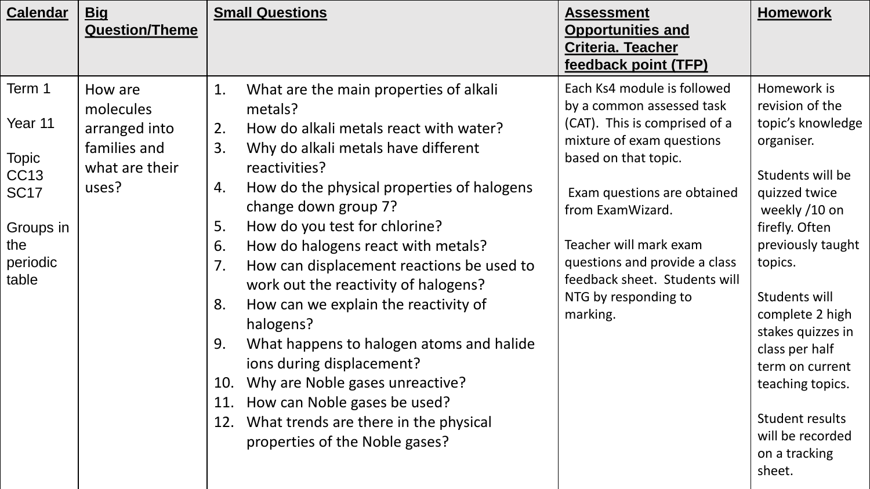| <b>Calendar</b>                                                                                          | <u>Big</u><br><b>Question/Theme</b>                                              | <b>Small Questions</b>                                                                                                                                                                                                                                                                                                                                                                                                                                                                                                                                                                                                                                                                                                                 | <b>Assessment</b><br><b>Opportunities and</b><br>Criteria. Teacher<br>feedback point (TFP)                                                                                                                                                                                                                                        | <b>Homework</b>                                                                                                                                                                                                                                                                                                                                               |
|----------------------------------------------------------------------------------------------------------|----------------------------------------------------------------------------------|----------------------------------------------------------------------------------------------------------------------------------------------------------------------------------------------------------------------------------------------------------------------------------------------------------------------------------------------------------------------------------------------------------------------------------------------------------------------------------------------------------------------------------------------------------------------------------------------------------------------------------------------------------------------------------------------------------------------------------------|-----------------------------------------------------------------------------------------------------------------------------------------------------------------------------------------------------------------------------------------------------------------------------------------------------------------------------------|---------------------------------------------------------------------------------------------------------------------------------------------------------------------------------------------------------------------------------------------------------------------------------------------------------------------------------------------------------------|
| Term 1<br>Year 11<br><b>Topic</b><br><b>CC13</b><br><b>SC17</b><br>Groups in<br>the<br>periodic<br>table | How are<br>molecules<br>arranged into<br>families and<br>what are their<br>uses? | What are the main properties of alkali<br>1.<br>metals?<br>How do alkali metals react with water?<br>2.<br>3.<br>Why do alkali metals have different<br>reactivities?<br>How do the physical properties of halogens<br>4.<br>change down group 7?<br>5.<br>How do you test for chlorine?<br>How do halogens react with metals?<br>6.<br>How can displacement reactions be used to<br>7.<br>work out the reactivity of halogens?<br>How can we explain the reactivity of<br>8.<br>halogens?<br>What happens to halogen atoms and halide<br>9.<br>ions during displacement?<br>Why are Noble gases unreactive?<br>10.<br>11. How can Noble gases be used?<br>12. What trends are there in the physical<br>properties of the Noble gases? | Each Ks4 module is followed<br>by a common assessed task<br>(CAT). This is comprised of a<br>mixture of exam questions<br>based on that topic.<br>Exam questions are obtained<br>from ExamWizard.<br>Teacher will mark exam<br>questions and provide a class<br>feedback sheet. Students will<br>NTG by responding to<br>marking. | Homework is<br>revision of the<br>topic's knowledge<br>organiser.<br>Students will be<br>quizzed twice<br>weekly /10 on<br>firefly. Often<br>previously taught<br>topics.<br>Students will<br>complete 2 high<br>stakes quizzes in<br>class per half<br>term on current<br>teaching topics.<br>Student results<br>will be recorded<br>on a tracking<br>sheet. |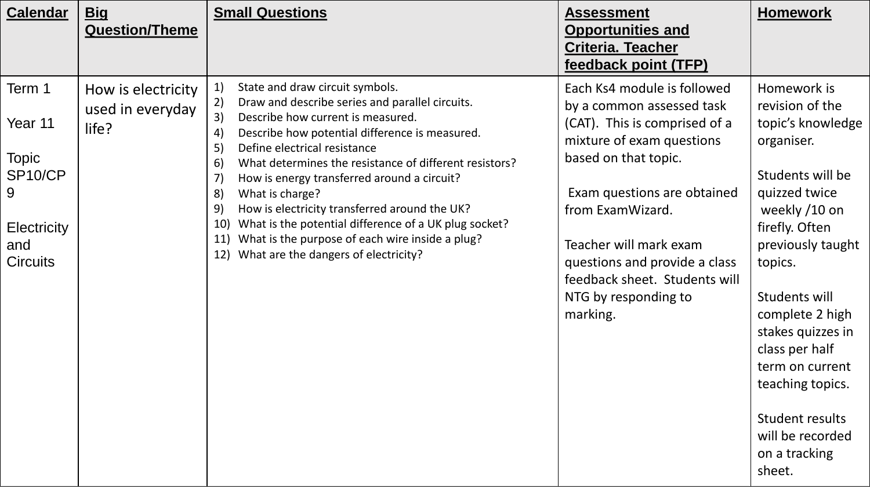| <b>Calendar</b>                                                                                   | <b>Big</b><br><b>Question/Theme</b>             | <b>Small Questions</b>                                                                                                                                                                                                                                                                                                                                                                                                                                                                                                                                                                                                                               | <b>Assessment</b><br><b>Opportunities and</b><br><b>Criteria. Teacher</b><br>feedback point (TFP)                                                                                                                                                                                                                                 | <b>Homework</b>                                                                                                                                                                                                                                                                                                                                               |
|---------------------------------------------------------------------------------------------------|-------------------------------------------------|------------------------------------------------------------------------------------------------------------------------------------------------------------------------------------------------------------------------------------------------------------------------------------------------------------------------------------------------------------------------------------------------------------------------------------------------------------------------------------------------------------------------------------------------------------------------------------------------------------------------------------------------------|-----------------------------------------------------------------------------------------------------------------------------------------------------------------------------------------------------------------------------------------------------------------------------------------------------------------------------------|---------------------------------------------------------------------------------------------------------------------------------------------------------------------------------------------------------------------------------------------------------------------------------------------------------------------------------------------------------------|
| Term 1<br>Year 11<br><b>Topic</b><br>SP10/CP<br>9<br><b>Electricity</b><br>and<br><b>Circuits</b> | How is electricity<br>used in everyday<br>life? | State and draw circuit symbols.<br>1)<br>2)<br>Draw and describe series and parallel circuits.<br>3)<br>Describe how current is measured.<br>$ 4\rangle$<br>Describe how potential difference is measured.<br>Define electrical resistance<br>5)<br>What determines the resistance of different resistors?<br>6)<br>$\vert 7 \rangle$<br>How is energy transferred around a circuit?<br>What is charge?<br>8)<br>9)<br>How is electricity transferred around the UK?<br>What is the potential difference of a UK plug socket?<br><b>10)</b><br>What is the purpose of each wire inside a plug?<br>11)<br>What are the dangers of electricity?<br>12) | Each Ks4 module is followed<br>by a common assessed task<br>(CAT). This is comprised of a<br>mixture of exam questions<br>based on that topic.<br>Exam questions are obtained<br>from ExamWizard.<br>Teacher will mark exam<br>questions and provide a class<br>feedback sheet. Students will<br>NTG by responding to<br>marking. | Homework is<br>revision of the<br>topic's knowledge<br>organiser.<br>Students will be<br>quizzed twice<br>weekly /10 on<br>firefly. Often<br>previously taught<br>topics.<br>Students will<br>complete 2 high<br>stakes quizzes in<br>class per half<br>term on current<br>teaching topics.<br>Student results<br>will be recorded<br>on a tracking<br>sheet. |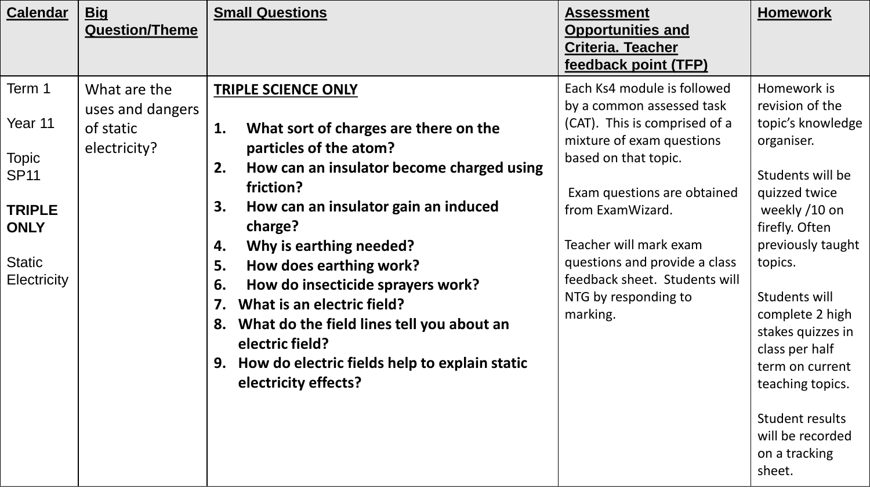| <b>Calendar</b>                                                                                                         | <b>Big</b><br><b>Question/Theme</b>                           | <b>Small Questions</b>                                                                                                                                                                                                                                                                                                                                                                                                                                                                                                       | <b>Assessment</b><br><b>Opportunities and</b><br><b>Criteria. Teacher</b><br>feedback point (TFP)                                                                                                                                                                                                                                 | <b>Homework</b>                                                                                                                                                                                                                                                                                                                                               |
|-------------------------------------------------------------------------------------------------------------------------|---------------------------------------------------------------|------------------------------------------------------------------------------------------------------------------------------------------------------------------------------------------------------------------------------------------------------------------------------------------------------------------------------------------------------------------------------------------------------------------------------------------------------------------------------------------------------------------------------|-----------------------------------------------------------------------------------------------------------------------------------------------------------------------------------------------------------------------------------------------------------------------------------------------------------------------------------|---------------------------------------------------------------------------------------------------------------------------------------------------------------------------------------------------------------------------------------------------------------------------------------------------------------------------------------------------------------|
| Term 1<br>Year 11<br><b>Topic</b><br><b>SP11</b><br><b>TRIPLE</b><br><b>ONLY</b><br><b>Static</b><br><b>Electricity</b> | What are the<br>uses and dangers<br>of static<br>electricity? | <b>TRIPLE SCIENCE ONLY</b><br>1.<br>What sort of charges are there on the<br>particles of the atom?<br>How can an insulator become charged using<br>2.<br>friction?<br>How can an insulator gain an induced<br>3.<br>charge?<br>Why is earthing needed?<br>4.<br>5.<br>How does earthing work?<br>How do insecticide sprayers work?<br>6.<br>What is an electric field?<br>7.<br>What do the field lines tell you about an<br>8.<br>electric field?<br>How do electric fields help to explain static<br>electricity effects? | Each Ks4 module is followed<br>by a common assessed task<br>(CAT). This is comprised of a<br>mixture of exam questions<br>based on that topic.<br>Exam questions are obtained<br>from ExamWizard.<br>Teacher will mark exam<br>questions and provide a class<br>feedback sheet. Students will<br>NTG by responding to<br>marking. | Homework is<br>revision of the<br>topic's knowledge<br>organiser.<br>Students will be<br>quizzed twice<br>weekly /10 on<br>firefly. Often<br>previously taught<br>topics.<br>Students will<br>complete 2 high<br>stakes quizzes in<br>class per half<br>term on current<br>teaching topics.<br>Student results<br>will be recorded<br>on a tracking<br>sheet. |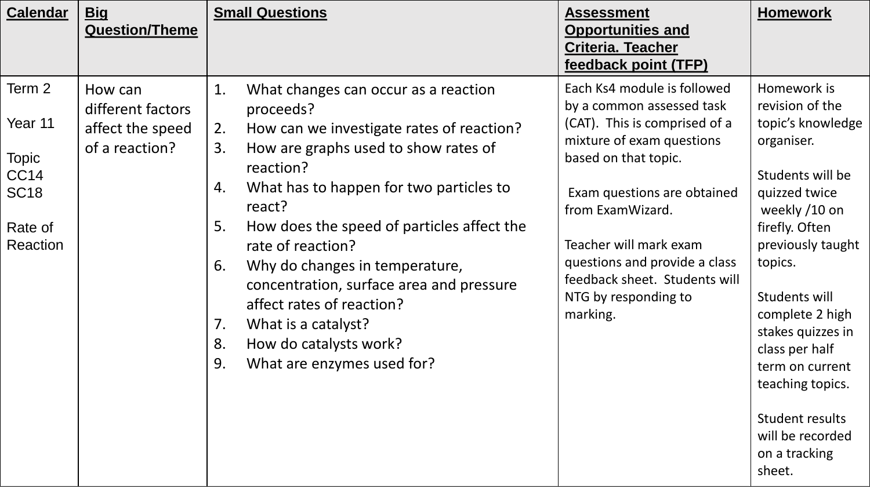| <b>Calendar</b>                                                                             | <b>Big</b><br><b>Question/Theme</b>                                | <b>Small Questions</b>                                                                                                                                                                                                                                                                                                                                                                                                                                                                                                      | <b>Assessment</b><br><b>Opportunities and</b><br><b>Criteria. Teacher</b><br>feedback point (TFP)                                                                                                                                                                                                                                 | <b>Homework</b>                                                                                                                                                                                                                                                                                                                                               |
|---------------------------------------------------------------------------------------------|--------------------------------------------------------------------|-----------------------------------------------------------------------------------------------------------------------------------------------------------------------------------------------------------------------------------------------------------------------------------------------------------------------------------------------------------------------------------------------------------------------------------------------------------------------------------------------------------------------------|-----------------------------------------------------------------------------------------------------------------------------------------------------------------------------------------------------------------------------------------------------------------------------------------------------------------------------------|---------------------------------------------------------------------------------------------------------------------------------------------------------------------------------------------------------------------------------------------------------------------------------------------------------------------------------------------------------------|
| Term 2<br>Year 11<br><b>Topic</b><br>CC <sub>14</sub><br><b>SC18</b><br>Rate of<br>Reaction | How can<br>different factors<br>affect the speed<br>of a reaction? | 1.<br>What changes can occur as a reaction<br>proceeds?<br>How can we investigate rates of reaction?<br>2.<br>How are graphs used to show rates of<br>3.<br>reaction?<br>What has to happen for two particles to<br>4.<br>react?<br>How does the speed of particles affect the<br>5.<br>rate of reaction?<br>Why do changes in temperature,<br>6.<br>concentration, surface area and pressure<br>affect rates of reaction?<br>What is a catalyst?<br>7.<br>8.<br>How do catalysts work?<br>9.<br>What are enzymes used for? | Each Ks4 module is followed<br>by a common assessed task<br>(CAT). This is comprised of a<br>mixture of exam questions<br>based on that topic.<br>Exam questions are obtained<br>from ExamWizard.<br>Teacher will mark exam<br>questions and provide a class<br>feedback sheet. Students will<br>NTG by responding to<br>marking. | Homework is<br>revision of the<br>topic's knowledge<br>organiser.<br>Students will be<br>quizzed twice<br>weekly /10 on<br>firefly. Often<br>previously taught<br>topics.<br>Students will<br>complete 2 high<br>stakes quizzes in<br>class per half<br>term on current<br>teaching topics.<br>Student results<br>will be recorded<br>on a tracking<br>sheet. |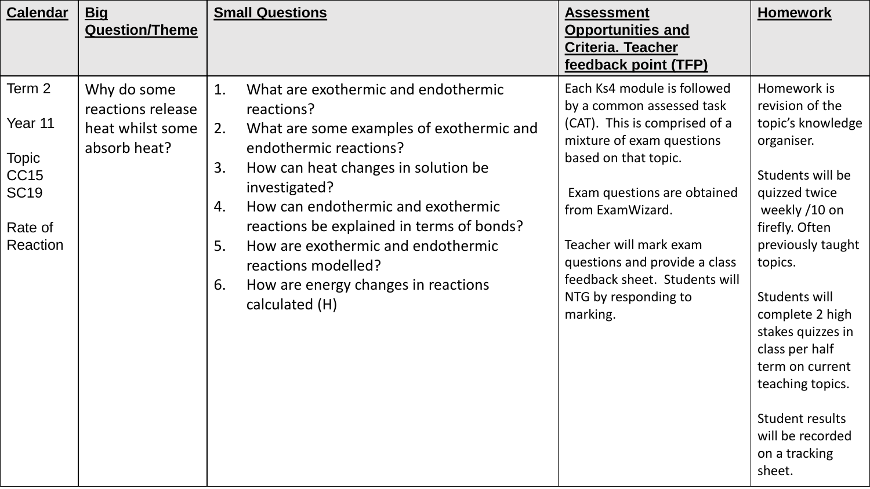| <b>Calendar</b>                                                                        | <b>Big</b><br><b>Question/Theme</b>                                  | <b>Small Questions</b>                                                                                                                                                                                                                                                                                                                                                                                                       | <b>Assessment</b><br><b>Opportunities and</b><br><b>Criteria. Teacher</b><br>feedback point (TFP)                                                                                                                                                                                                                                 | <b>Homework</b>                                                                                                                                                                                                                                                                                                                                                      |
|----------------------------------------------------------------------------------------|----------------------------------------------------------------------|------------------------------------------------------------------------------------------------------------------------------------------------------------------------------------------------------------------------------------------------------------------------------------------------------------------------------------------------------------------------------------------------------------------------------|-----------------------------------------------------------------------------------------------------------------------------------------------------------------------------------------------------------------------------------------------------------------------------------------------------------------------------------|----------------------------------------------------------------------------------------------------------------------------------------------------------------------------------------------------------------------------------------------------------------------------------------------------------------------------------------------------------------------|
| Term 2<br>Year 11<br><b>Topic</b><br><b>CC15</b><br><b>SC19</b><br>Rate of<br>Reaction | Why do some<br>reactions release<br>heat whilst some<br>absorb heat? | What are exothermic and endothermic<br>1.<br>reactions?<br>What are some examples of exothermic and<br>2.<br>endothermic reactions?<br>How can heat changes in solution be<br>3.<br>investigated?<br>How can endothermic and exothermic<br>4.<br>reactions be explained in terms of bonds?<br>How are exothermic and endothermic<br>5.<br>reactions modelled?<br>How are energy changes in reactions<br>6.<br>calculated (H) | Each Ks4 module is followed<br>by a common assessed task<br>(CAT). This is comprised of a<br>mixture of exam questions<br>based on that topic.<br>Exam questions are obtained<br>from ExamWizard.<br>Teacher will mark exam<br>questions and provide a class<br>feedback sheet. Students will<br>NTG by responding to<br>marking. | Homework is<br>revision of the<br>topic's knowledge<br>organiser.<br>Students will be<br>quizzed twice<br>weekly /10 on<br>firefly. Often<br>previously taught<br>topics.<br>Students will<br>complete 2 high<br>stakes quizzes in<br>class per half<br>term on current<br>teaching topics.<br><b>Student results</b><br>will be recorded<br>on a tracking<br>sheet. |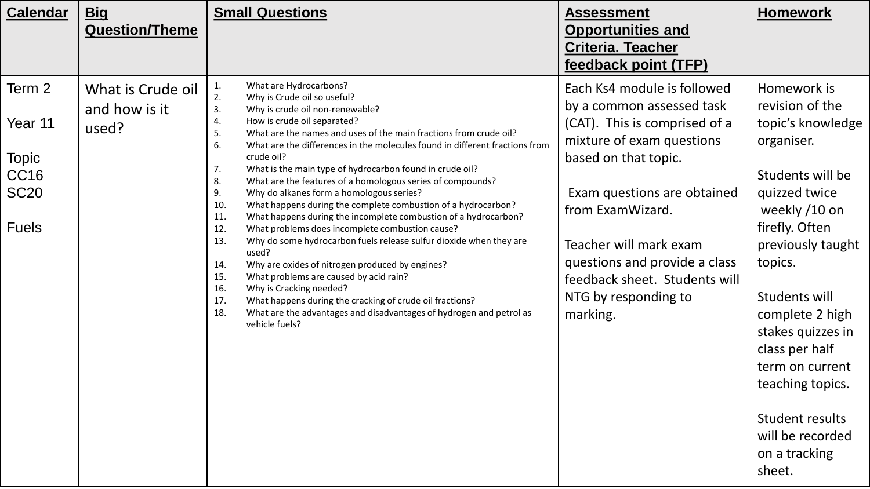| <b>Calendar</b>                                                                 | <b>Big</b><br><b>Question/Theme</b>         | <b>Small Questions</b>                                                                                                                                                                                                                                                                                                                                                                                                                                                                                                                                                                                                                                                                                                                                                                                                                                                                                                                                                                                                                                                                                                                  | <b>Assessment</b><br><b>Opportunities and</b><br><b>Criteria. Teacher</b><br>feedback point (TFP)                                                                                                                                                                                                                                 | <b>Homework</b>                                                                                                                                                                                                                                                                                                                                               |
|---------------------------------------------------------------------------------|---------------------------------------------|-----------------------------------------------------------------------------------------------------------------------------------------------------------------------------------------------------------------------------------------------------------------------------------------------------------------------------------------------------------------------------------------------------------------------------------------------------------------------------------------------------------------------------------------------------------------------------------------------------------------------------------------------------------------------------------------------------------------------------------------------------------------------------------------------------------------------------------------------------------------------------------------------------------------------------------------------------------------------------------------------------------------------------------------------------------------------------------------------------------------------------------------|-----------------------------------------------------------------------------------------------------------------------------------------------------------------------------------------------------------------------------------------------------------------------------------------------------------------------------------|---------------------------------------------------------------------------------------------------------------------------------------------------------------------------------------------------------------------------------------------------------------------------------------------------------------------------------------------------------------|
| Term 2<br>Year 11<br><b>Topic</b><br><b>CC16</b><br><b>SC20</b><br><b>Fuels</b> | What is Crude oil<br>and how is it<br>used? | What are Hydrocarbons?<br>1.<br>2.<br>Why is Crude oil so useful?<br>3.<br>Why is crude oil non-renewable?<br>How is crude oil separated?<br>4.<br>What are the names and uses of the main fractions from crude oil?<br>5.<br>6.<br>What are the differences in the molecules found in different fractions from<br>crude oil?<br>What is the main type of hydrocarbon found in crude oil?<br>7.<br>What are the features of a homologous series of compounds?<br>8.<br>9.<br>Why do alkanes form a homologous series?<br>10.<br>What happens during the complete combustion of a hydrocarbon?<br>11.<br>What happens during the incomplete combustion of a hydrocarbon?<br>12.<br>What problems does incomplete combustion cause?<br>13.<br>Why do some hydrocarbon fuels release sulfur dioxide when they are<br>used?<br>Why are oxides of nitrogen produced by engines?<br>14.<br>15.<br>What problems are caused by acid rain?<br>Why is Cracking needed?<br>16.<br>What happens during the cracking of crude oil fractions?<br>17.<br>18.<br>What are the advantages and disadvantages of hydrogen and petrol as<br>vehicle fuels? | Each Ks4 module is followed<br>by a common assessed task<br>(CAT). This is comprised of a<br>mixture of exam questions<br>based on that topic.<br>Exam questions are obtained<br>from ExamWizard.<br>Teacher will mark exam<br>questions and provide a class<br>feedback sheet. Students will<br>NTG by responding to<br>marking. | Homework is<br>revision of the<br>topic's knowledge<br>organiser.<br>Students will be<br>quizzed twice<br>weekly /10 on<br>firefly. Often<br>previously taught<br>topics.<br>Students will<br>complete 2 high<br>stakes quizzes in<br>class per half<br>term on current<br>teaching topics.<br>Student results<br>will be recorded<br>on a tracking<br>sheet. |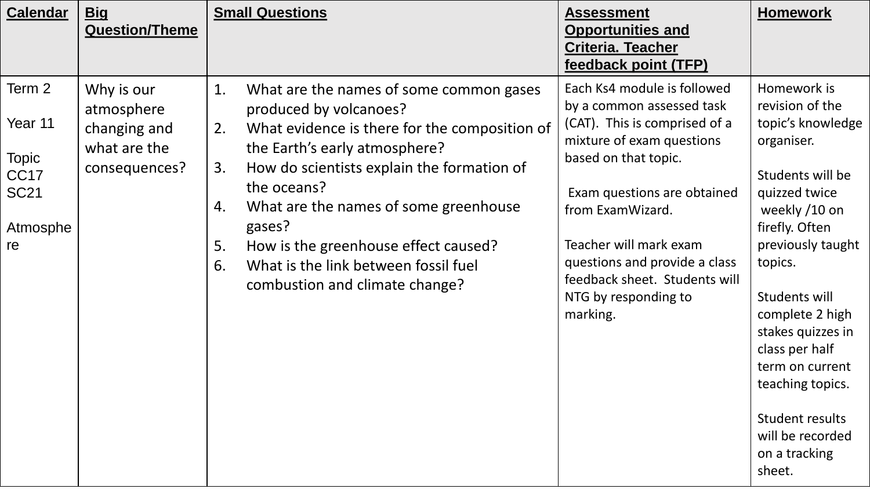| <b>Calendar</b>                                                                        | <b>Big</b><br><b>Question/Theme</b>                                       | <b>Small Questions</b>                                                                                                                                                                                                                                                                                                                                                                                                    | <b>Assessment</b><br><b>Opportunities and</b><br><b>Criteria. Teacher</b><br>feedback point (TFP)                                                                                                                                                                                                                                 | <b>Homework</b>                                                                                                                                                                                                                                                                                                                                               |
|----------------------------------------------------------------------------------------|---------------------------------------------------------------------------|---------------------------------------------------------------------------------------------------------------------------------------------------------------------------------------------------------------------------------------------------------------------------------------------------------------------------------------------------------------------------------------------------------------------------|-----------------------------------------------------------------------------------------------------------------------------------------------------------------------------------------------------------------------------------------------------------------------------------------------------------------------------------|---------------------------------------------------------------------------------------------------------------------------------------------------------------------------------------------------------------------------------------------------------------------------------------------------------------------------------------------------------------|
| Term 2<br>Year 11<br><b>Topic</b><br>CC <sub>17</sub><br><b>SC21</b><br>Atmosphe<br>re | Why is our<br>atmosphere<br>changing and<br>what are the<br>consequences? | 1.<br>What are the names of some common gases<br>produced by volcanoes?<br>What evidence is there for the composition of<br>2.<br>the Earth's early atmosphere?<br>How do scientists explain the formation of<br>3.<br>the oceans?<br>What are the names of some greenhouse<br>4.<br>gases?<br>How is the greenhouse effect caused?<br>5.<br>What is the link between fossil fuel<br>6.<br>combustion and climate change? | Each Ks4 module is followed<br>by a common assessed task<br>(CAT). This is comprised of a<br>mixture of exam questions<br>based on that topic.<br>Exam questions are obtained<br>from ExamWizard.<br>Teacher will mark exam<br>questions and provide a class<br>feedback sheet. Students will<br>NTG by responding to<br>marking. | Homework is<br>revision of the<br>topic's knowledge<br>organiser.<br>Students will be<br>quizzed twice<br>weekly /10 on<br>firefly. Often<br>previously taught<br>topics.<br>Students will<br>complete 2 high<br>stakes quizzes in<br>class per half<br>term on current<br>teaching topics.<br>Student results<br>will be recorded<br>on a tracking<br>sheet. |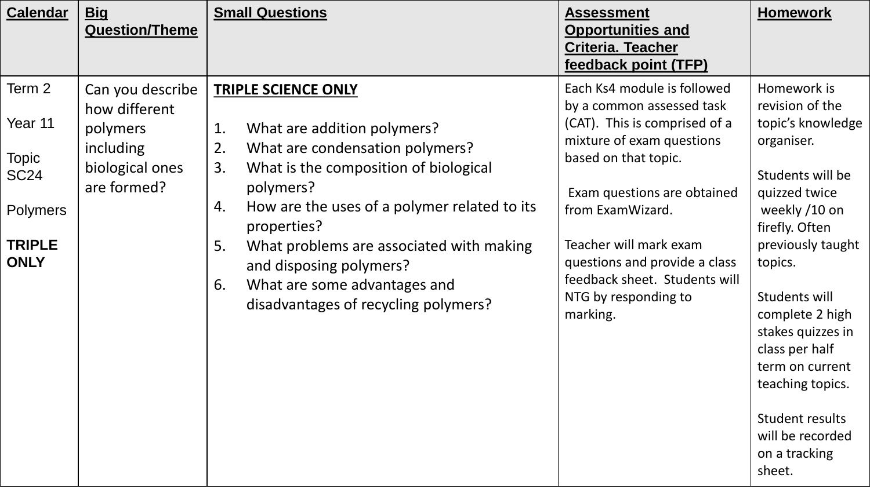| <b>Calendar</b>                                                                                     | <b>Big</b><br><b>Question/Theme</b>                                                          | <b>Small Questions</b>                                                                                                                                                                                                                                                                                                                                                                               | <b>Assessment</b><br><b>Opportunities and</b><br><b>Criteria. Teacher</b><br>feedback point (TFP)                                                                                                                                                                                                                                 | <b>Homework</b>                                                                                                                                                                                                                                                                                                                                               |
|-----------------------------------------------------------------------------------------------------|----------------------------------------------------------------------------------------------|------------------------------------------------------------------------------------------------------------------------------------------------------------------------------------------------------------------------------------------------------------------------------------------------------------------------------------------------------------------------------------------------------|-----------------------------------------------------------------------------------------------------------------------------------------------------------------------------------------------------------------------------------------------------------------------------------------------------------------------------------|---------------------------------------------------------------------------------------------------------------------------------------------------------------------------------------------------------------------------------------------------------------------------------------------------------------------------------------------------------------|
| Term 2<br>Year 11<br><b>Topic</b><br><b>SC24</b><br><b>Polymers</b><br><b>TRIPLE</b><br><b>ONLY</b> | Can you describe<br>how different<br>polymers<br>including<br>biological ones<br>are formed? | <b>TRIPLE SCIENCE ONLY</b><br>What are addition polymers?<br>1.<br>What are condensation polymers?<br>2.<br>What is the composition of biological<br>3.<br>polymers?<br>How are the uses of a polymer related to its<br>4.<br>properties?<br>What problems are associated with making<br>5.<br>and disposing polymers?<br>What are some advantages and<br>6.<br>disadvantages of recycling polymers? | Each Ks4 module is followed<br>by a common assessed task<br>(CAT). This is comprised of a<br>mixture of exam questions<br>based on that topic.<br>Exam questions are obtained<br>from ExamWizard.<br>Teacher will mark exam<br>questions and provide a class<br>feedback sheet. Students will<br>NTG by responding to<br>marking. | Homework is<br>revision of the<br>topic's knowledge<br>organiser.<br>Students will be<br>quizzed twice<br>weekly /10 on<br>firefly. Often<br>previously taught<br>topics.<br>Students will<br>complete 2 high<br>stakes quizzes in<br>class per half<br>term on current<br>teaching topics.<br>Student results<br>will be recorded<br>on a tracking<br>sheet. |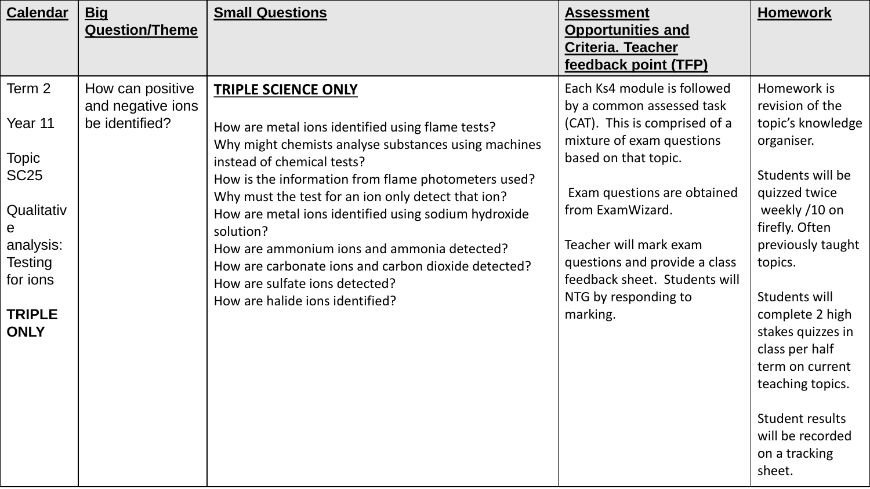| <b>Calendar</b>                                                                                                                              | <b>Big</b><br><b>Question/Theme</b>                     | <b>Small Questions</b>                                                                                                                                                                                                                                                                                                                                                                                                                                                                                                            | <b>Assessment</b><br><b>Opportunities and</b><br>Criteria. Teacher<br>feedback point (TFP)                                                                                                                                                                                                                                        | <b>Homework</b>                                                                                                                                                                                                                                                                                                                                               |
|----------------------------------------------------------------------------------------------------------------------------------------------|---------------------------------------------------------|-----------------------------------------------------------------------------------------------------------------------------------------------------------------------------------------------------------------------------------------------------------------------------------------------------------------------------------------------------------------------------------------------------------------------------------------------------------------------------------------------------------------------------------|-----------------------------------------------------------------------------------------------------------------------------------------------------------------------------------------------------------------------------------------------------------------------------------------------------------------------------------|---------------------------------------------------------------------------------------------------------------------------------------------------------------------------------------------------------------------------------------------------------------------------------------------------------------------------------------------------------------|
| Term 2<br>Year 11<br><b>Topic</b><br>SC <sub>25</sub><br>Qualitativ<br>e<br>analysis:<br>Testing<br>for ions<br><b>TRIPLE</b><br><b>ONLY</b> | How can positive<br>and negative ions<br>be identified? | <b>TRIPLE SCIENCE ONLY</b><br>How are metal ions identified using flame tests?<br>Why might chemists analyse substances using machines<br>instead of chemical tests?<br>How is the information from flame photometers used?<br>Why must the test for an ion only detect that ion?<br>How are metal ions identified using sodium hydroxide<br>solution?<br>How are ammonium ions and ammonia detected?<br>How are carbonate ions and carbon dioxide detected?<br>How are sulfate ions detected?<br>How are halide ions identified? | Each Ks4 module is followed<br>by a common assessed task<br>(CAT). This is comprised of a<br>mixture of exam questions<br>based on that topic.<br>Exam questions are obtained<br>from ExamWizard.<br>Teacher will mark exam<br>questions and provide a class<br>feedback sheet. Students will<br>NTG by responding to<br>marking. | Homework is<br>revision of the<br>topic's knowledge<br>organiser.<br>Students will be<br>quizzed twice<br>weekly /10 on<br>firefly. Often<br>previously taught<br>topics.<br>Students will<br>complete 2 high<br>stakes quizzes in<br>class per half<br>term on current<br>teaching topics.<br>Student results<br>will be recorded<br>on a tracking<br>sheet. |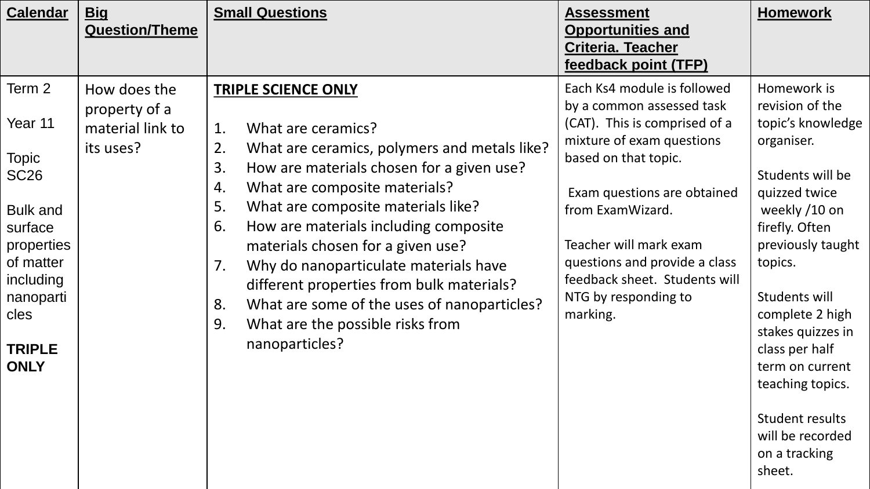| <b>Calendar</b>                                                                                                         | <b>Big</b><br><b>Question/Theme</b>                            | <b>Small Questions</b>                                                                                                                                                                                                                                                                                                                                                           | <b>Assessment</b><br><b>Opportunities and</b><br><b>Criteria. Teacher</b><br>feedback point (TFP)                                                                               | <b>Homework</b>                                                                                                                                                                                    |
|-------------------------------------------------------------------------------------------------------------------------|----------------------------------------------------------------|----------------------------------------------------------------------------------------------------------------------------------------------------------------------------------------------------------------------------------------------------------------------------------------------------------------------------------------------------------------------------------|---------------------------------------------------------------------------------------------------------------------------------------------------------------------------------|----------------------------------------------------------------------------------------------------------------------------------------------------------------------------------------------------|
| Term 2<br>Year 11<br><b>Topic</b><br><b>SC26</b>                                                                        | How does the<br>property of a<br>material link to<br>its uses? | <b>TRIPLE SCIENCE ONLY</b><br>What are ceramics?<br>1.<br>2.<br>What are ceramics, polymers and metals like?<br>3.<br>How are materials chosen for a given use?                                                                                                                                                                                                                  | Each Ks4 module is followed<br>by a common assessed task<br>(CAT). This is comprised of a<br>mixture of exam questions<br>based on that topic.                                  | Homework is<br>revision of the<br>topic's knowledge<br>organiser.<br>Students will be                                                                                                              |
| <b>Bulk and</b><br>surface<br>properties<br>of matter<br>including<br>nanoparti<br>cles<br><b>TRIPLE</b><br><b>ONLY</b> |                                                                | What are composite materials?<br>4.<br>5.<br>What are composite materials like?<br>6.<br>How are materials including composite<br>materials chosen for a given use?<br>7.<br>Why do nanoparticulate materials have<br>different properties from bulk materials?<br>What are some of the uses of nanoparticles?<br>8.<br>9.<br>What are the possible risks from<br>nanoparticles? | Exam questions are obtained<br>from ExamWizard.<br>Teacher will mark exam<br>questions and provide a class<br>feedback sheet. Students will<br>NTG by responding to<br>marking. | quizzed twice<br>weekly /10 on<br>firefly. Often<br>previously taught<br>topics.<br>Students will<br>complete 2 high<br>stakes quizzes in<br>class per half<br>term on current<br>teaching topics. |
|                                                                                                                         |                                                                |                                                                                                                                                                                                                                                                                                                                                                                  |                                                                                                                                                                                 | Student results<br>will be recorded<br>on a tracking<br>sheet.                                                                                                                                     |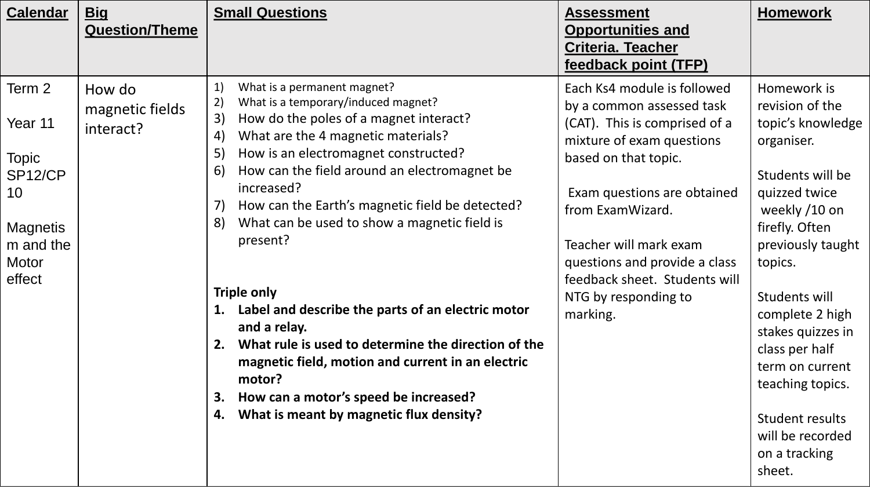| <b>Calendar</b>                                    | <u>Big</u><br><b>Question/Theme</b>    | <b>Small Questions</b>                                                                                                                                                                                                                                                                                                                                                                                                              | <b>Assessment</b><br><b>Opportunities and</b><br>Criteria. Teacher<br>feedback point (TFP)                                                                                                        | <b>Homework</b>                                                                                                                                                                                                                    |
|----------------------------------------------------|----------------------------------------|-------------------------------------------------------------------------------------------------------------------------------------------------------------------------------------------------------------------------------------------------------------------------------------------------------------------------------------------------------------------------------------------------------------------------------------|---------------------------------------------------------------------------------------------------------------------------------------------------------------------------------------------------|------------------------------------------------------------------------------------------------------------------------------------------------------------------------------------------------------------------------------------|
| Term 2<br>Year 11<br><b>Topic</b><br>SP12/CP<br>10 | How do<br>magnetic fields<br>interact? | What is a permanent magnet?<br>1)<br>What is a temporary/induced magnet?<br>2)<br>3)<br>How do the poles of a magnet interact?<br>What are the 4 magnetic materials?<br>$\left( 4\right)$<br>5)<br>How is an electromagnet constructed?<br>How can the field around an electromagnet be<br>6)<br>increased?<br>How can the Earth's magnetic field be detected?<br>7)<br>What can be used to show a magnetic field is<br>$ 8\rangle$ | Each Ks4 module is followed<br>by a common assessed task<br>(CAT). This is comprised of a<br>mixture of exam questions<br>based on that topic.<br>Exam questions are obtained<br>from ExamWizard. | Homework is<br>revision of the<br>topic's knowledge<br>organiser.<br>Students will be<br>quizzed twice<br>weekly /10 on                                                                                                            |
| <b>Magnetis</b><br>m and the<br>Motor<br>effect    |                                        | present?<br><b>Triple only</b><br>Label and describe the parts of an electric motor<br>1.<br>and a relay.<br>What rule is used to determine the direction of the<br>2.<br>magnetic field, motion and current in an electric<br>motor?<br>How can a motor's speed be increased?<br>3.<br>What is meant by magnetic flux density?<br>4.                                                                                               | Teacher will mark exam<br>questions and provide a class<br>feedback sheet. Students will<br>NTG by responding to<br>marking.                                                                      | firefly. Often<br>previously taught<br>topics.<br>Students will<br>complete 2 high<br>stakes quizzes in<br>class per half<br>term on current<br>teaching topics.<br>Student results<br>will be recorded<br>on a tracking<br>sheet. |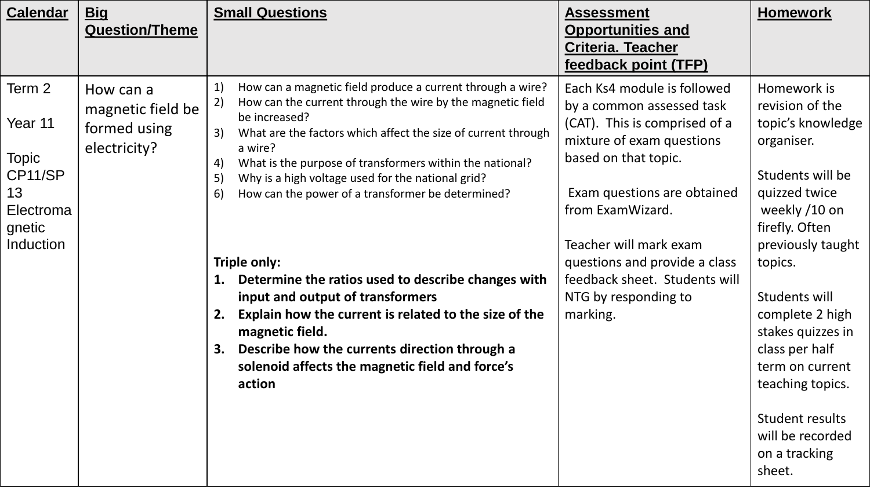| <b>Calendar</b>                                                                               | <b>Big</b><br><b>Question/Theme</b>                            | <b>Small Questions</b>                                                                                                                                                                                                                                                                                                                                                                                                                                                                                                                                                                                                                                                                                                                                | <b>Assessment</b><br><b>Opportunities and</b><br><b>Criteria. Teacher</b><br>feedback point (TFP)                                                                                                                                                                                                                                 | <b>Homework</b>                                                                                                                                                                                                                                                                                                                                                      |
|-----------------------------------------------------------------------------------------------|----------------------------------------------------------------|-------------------------------------------------------------------------------------------------------------------------------------------------------------------------------------------------------------------------------------------------------------------------------------------------------------------------------------------------------------------------------------------------------------------------------------------------------------------------------------------------------------------------------------------------------------------------------------------------------------------------------------------------------------------------------------------------------------------------------------------------------|-----------------------------------------------------------------------------------------------------------------------------------------------------------------------------------------------------------------------------------------------------------------------------------------------------------------------------------|----------------------------------------------------------------------------------------------------------------------------------------------------------------------------------------------------------------------------------------------------------------------------------------------------------------------------------------------------------------------|
| Term 2<br>Year 11<br><b>Topic</b><br>CP11/SP<br>13<br>Electroma<br>gnetic<br><b>Induction</b> | How can a<br>magnetic field be<br>formed using<br>electricity? | 1)<br>How can a magnetic field produce a current through a wire?<br>2)<br>How can the current through the wire by the magnetic field<br>be increased?<br>What are the factors which affect the size of current through<br>3)<br>a wire?<br>What is the purpose of transformers within the national?<br>4)<br>Why is a high voltage used for the national grid?<br>5)<br>How can the power of a transformer be determined?<br>6)<br>Triple only:<br>Determine the ratios used to describe changes with<br>1.<br>input and output of transformers<br>Explain how the current is related to the size of the<br>2.<br>magnetic field.<br>Describe how the currents direction through a<br>3.<br>solenoid affects the magnetic field and force's<br>action | Each Ks4 module is followed<br>by a common assessed task<br>(CAT). This is comprised of a<br>mixture of exam questions<br>based on that topic.<br>Exam questions are obtained<br>from ExamWizard.<br>Teacher will mark exam<br>questions and provide a class<br>feedback sheet. Students will<br>NTG by responding to<br>marking. | Homework is<br>revision of the<br>topic's knowledge<br>organiser.<br>Students will be<br>quizzed twice<br>weekly /10 on<br>firefly. Often<br>previously taught<br>topics.<br>Students will<br>complete 2 high<br>stakes quizzes in<br>class per half<br>term on current<br>teaching topics.<br><b>Student results</b><br>will be recorded<br>on a tracking<br>sheet. |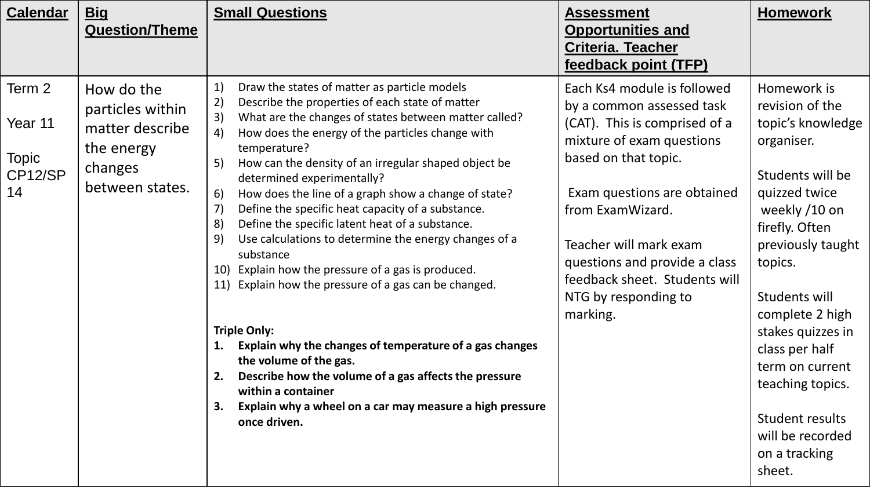| <b>Calendar</b><br><u>Big</u>                                                             | <b>Question/Theme</b>                                                                                                                                                        | <b>Small Questions</b>                                                                                                                                                                                                                                                                                                                                                                                                                                                                                                                                                                                                                                                                                                                                                                                                                                                                                                                 | <b>Assessment</b><br><b>Opportunities and</b><br><b>Criteria. Teacher</b><br>feedback point (TFP)                                                                                                                                                                                                                                 | <b>Homework</b>                                                                                                                                                                                                                                                                                                                                               |
|-------------------------------------------------------------------------------------------|------------------------------------------------------------------------------------------------------------------------------------------------------------------------------|----------------------------------------------------------------------------------------------------------------------------------------------------------------------------------------------------------------------------------------------------------------------------------------------------------------------------------------------------------------------------------------------------------------------------------------------------------------------------------------------------------------------------------------------------------------------------------------------------------------------------------------------------------------------------------------------------------------------------------------------------------------------------------------------------------------------------------------------------------------------------------------------------------------------------------------|-----------------------------------------------------------------------------------------------------------------------------------------------------------------------------------------------------------------------------------------------------------------------------------------------------------------------------------|---------------------------------------------------------------------------------------------------------------------------------------------------------------------------------------------------------------------------------------------------------------------------------------------------------------------------------------------------------------|
| Term 2<br>How do the<br>Year 11<br>the energy<br><b>Topic</b><br>changes<br>CP12/SP<br>14 | $\ket{1}$<br>$\mathbf{2}$<br>particles within<br>3)<br>matter describe<br>4)<br>5)<br>between states.<br>6)<br>$\left( 7\right)$<br>8)<br>9)<br>10)<br>11)<br>1.<br>2.<br>З. | Draw the states of matter as particle models<br>Describe the properties of each state of matter<br>What are the changes of states between matter called?<br>How does the energy of the particles change with<br>temperature?<br>How can the density of an irregular shaped object be<br>determined experimentally?<br>How does the line of a graph show a change of state?<br>Define the specific heat capacity of a substance.<br>Define the specific latent heat of a substance.<br>Use calculations to determine the energy changes of a<br>substance<br>Explain how the pressure of a gas is produced.<br>Explain how the pressure of a gas can be changed.<br><b>Triple Only:</b><br>Explain why the changes of temperature of a gas changes<br>the volume of the gas.<br>Describe how the volume of a gas affects the pressure<br>within a container<br>Explain why a wheel on a car may measure a high pressure<br>once driven. | Each Ks4 module is followed<br>by a common assessed task<br>(CAT). This is comprised of a<br>mixture of exam questions<br>based on that topic.<br>Exam questions are obtained<br>from ExamWizard.<br>Teacher will mark exam<br>questions and provide a class<br>feedback sheet. Students will<br>NTG by responding to<br>marking. | Homework is<br>revision of the<br>topic's knowledge<br>organiser.<br>Students will be<br>quizzed twice<br>weekly /10 on<br>firefly. Often<br>previously taught<br>topics.<br>Students will<br>complete 2 high<br>stakes quizzes in<br>class per half<br>term on current<br>teaching topics.<br>Student results<br>will be recorded<br>on a tracking<br>sheet. |